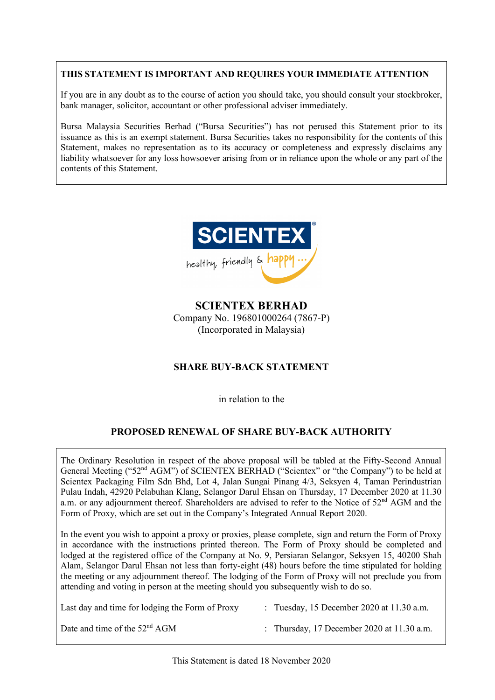# **THIS STATEMENT IS IMPORTANT AND REQUIRES YOUR IMMEDIATE ATTENTION**

If you are in any doubt as to the course of action you should take, you should consult your stockbroker, bank manager, solicitor, accountant or other professional adviser immediately.

Bursa Malaysia Securities Berhad ("Bursa Securities") has not perused this Statement prior to its issuance as this is an exempt statement. Bursa Securities takes no responsibility for the contents of this Statement, makes no representation as to its accuracy or completeness and expressly disclaims any liability whatsoever for any loss howsoever arising from or in reliance upon the whole or any part of the contents of this Statement.



**SCIENTEX BERHAD** Company No. 196801000264 (7867-P) (Incorporated in Malaysia)

# **SHARE BUY-BACK STATEMENT**

in relation to the

# **PROPOSED RENEWAL OF SHARE BUY-BACK AUTHORITY**

The Ordinary Resolution in respect of the above proposal will be tabled at the Fifty-Second Annual General Meeting ("52<sup>nd</sup> AGM") of SCIENTEX BERHAD ("Scientex" or "the Company") to be held at Scientex Packaging Film Sdn Bhd, Lot 4, Jalan Sungai Pinang 4/3, Seksyen 4, Taman Perindustrian Pulau Indah, 42920 Pelabuhan Klang, Selangor Darul Ehsan on Thursday, 17 December 2020 at 11.30 a.m. or any adjournment thereof. Shareholders are advised to refer to the Notice of 52<sup>nd</sup> AGM and the Form of Proxy, which are set out in the Company's Integrated Annual Report 2020.

In the event you wish to appoint a proxy or proxies, please complete, sign and return the Form of Proxy in accordance with the instructions printed thereon. The Form of Proxy should be completed and lodged at the registered office of the Company at No. 9, Persiaran Selangor, Seksyen 15, 40200 Shah Alam, Selangor Darul Ehsan not less than forty-eight (48) hours before the time stipulated for holding the meeting or any adjournment thereof. The lodging of the Form of Proxy will not preclude you from attending and voting in person at the meeting should you subsequently wish to do so.

| Last day and time for lodging the Form of Proxy | : Tuesday, 15 December 2020 at $11.30$ a.m.  |
|-------------------------------------------------|----------------------------------------------|
| Date and time of the $52nd AGM$                 | : Thursday, 17 December 2020 at $11.30$ a.m. |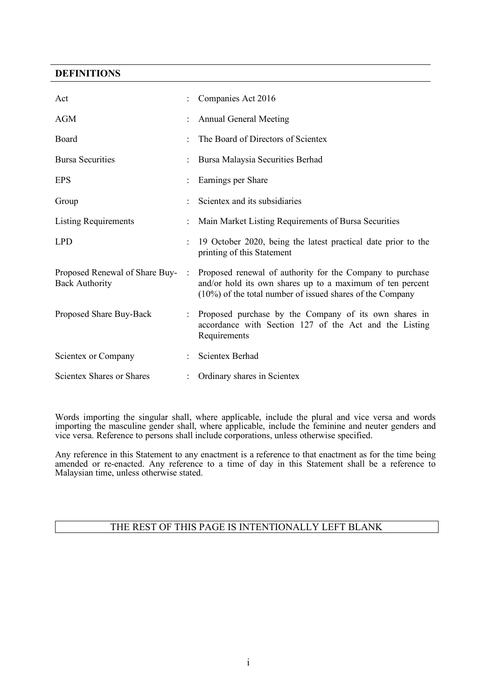## **DEFINITIONS**

| Act                                                     |   | Companies Act 2016                                                                                                                                                                     |
|---------------------------------------------------------|---|----------------------------------------------------------------------------------------------------------------------------------------------------------------------------------------|
| <b>AGM</b>                                              |   | <b>Annual General Meeting</b>                                                                                                                                                          |
| Board                                                   |   | The Board of Directors of Scientex                                                                                                                                                     |
| <b>Bursa Securities</b>                                 |   | Bursa Malaysia Securities Berhad                                                                                                                                                       |
| <b>EPS</b>                                              |   | Earnings per Share                                                                                                                                                                     |
| Group                                                   |   | Scientex and its subsidiaries                                                                                                                                                          |
| <b>Listing Requirements</b>                             |   | Main Market Listing Requirements of Bursa Securities                                                                                                                                   |
| <b>LPD</b>                                              |   | 19 October 2020, being the latest practical date prior to the<br>printing of this Statement                                                                                            |
| Proposed Renewal of Share Buy-<br><b>Back Authority</b> | ÷ | Proposed renewal of authority for the Company to purchase<br>and/or hold its own shares up to a maximum of ten percent<br>$(10\%)$ of the total number of issued shares of the Company |
| Proposed Share Buy-Back                                 |   | Proposed purchase by the Company of its own shares in<br>accordance with Section 127 of the Act and the Listing<br>Requirements                                                        |
| Scientex or Company                                     |   | <b>Scientex Berhad</b>                                                                                                                                                                 |
| <b>Scientex Shares or Shares</b>                        |   | Ordinary shares in Scientex                                                                                                                                                            |

Words importing the singular shall, where applicable, include the plural and vice versa and words importing the masculine gender shall, where applicable, include the feminine and neuter genders and vice versa. Reference to persons shall include corporations, unless otherwise specified.

Any reference in this Statement to any enactment is a reference to that enactment as for the time being amended or re-enacted. Any reference to a time of day in this Statement shall be a reference to Malaysian time, unless otherwise stated.

# THE REST OF THIS PAGE IS INTENTIONALLY LEFT BLANK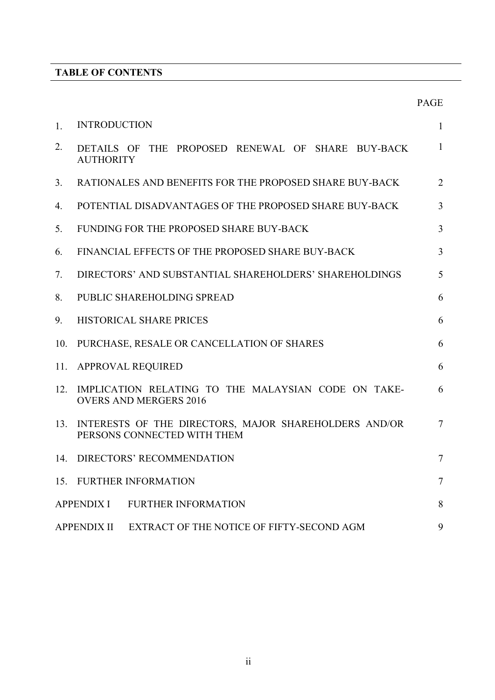# **TABLE OF CONTENTS**

|     |                                                                                      | <b>PAGE</b>     |
|-----|--------------------------------------------------------------------------------------|-----------------|
| 1.  | <b>INTRODUCTION</b>                                                                  | 1               |
| 2.  | DETAILS OF THE PROPOSED RENEWAL OF SHARE BUY-BACK<br><b>AUTHORITY</b>                | $\mathbf{1}$    |
| 3.  | RATIONALES AND BENEFITS FOR THE PROPOSED SHARE BUY-BACK                              | 2               |
| 4.  | POTENTIAL DISADVANTAGES OF THE PROPOSED SHARE BUY-BACK                               | $\overline{3}$  |
| 5.  | FUNDING FOR THE PROPOSED SHARE BUY-BACK                                              | 3               |
| 6.  | FINANCIAL EFFECTS OF THE PROPOSED SHARE BUY-BACK                                     | 3               |
| 7.  | DIRECTORS' AND SUBSTANTIAL SHAREHOLDERS' SHAREHOLDINGS                               | 5               |
| 8.  | PUBLIC SHAREHOLDING SPREAD                                                           | 6               |
| 9.  | HISTORICAL SHARE PRICES                                                              | 6               |
| 10. | PURCHASE, RESALE OR CANCELLATION OF SHARES                                           | 6               |
| 11. | <b>APPROVAL REQUIRED</b>                                                             | 6               |
| 12. | IMPLICATION RELATING TO THE MALAYSIAN CODE ON TAKE-<br><b>OVERS AND MERGERS 2016</b> | 6               |
| 13. | INTERESTS OF THE DIRECTORS, MAJOR SHAREHOLDERS AND/OR<br>PERSONS CONNECTED WITH THEM | $7\phantom{.0}$ |
| 14. | DIRECTORS' RECOMMENDATION                                                            | $\overline{7}$  |
|     | 15. FURTHER INFORMATION                                                              | $\overline{7}$  |
|     | <b>APPENDIX I</b><br><b>FURTHER INFORMATION</b>                                      | 8               |
|     | EXTRACT OF THE NOTICE OF FIFTY-SECOND AGM<br><b>APPENDIX II</b>                      | 9               |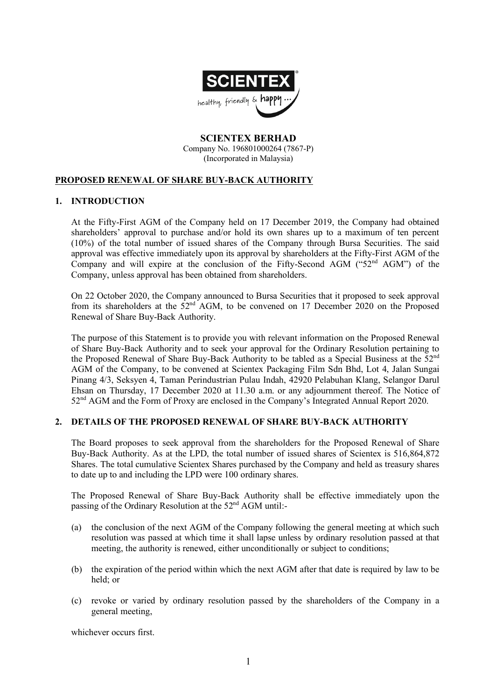

**SCIENTEX BERHAD** Company No. 196801000264 (7867-P) (Incorporated in Malaysia)

# **PROPOSED RENEWAL OF SHARE BUY-BACK AUTHORITY**

#### **1. INTRODUCTION**

At the Fifty-First AGM of the Company held on 17 December 2019, the Company had obtained shareholders' approval to purchase and/or hold its own shares up to a maximum of ten percent (10%) of the total number of issued shares of the Company through Bursa Securities. The said approval was effective immediately upon its approval by shareholders at the Fifty-First AGM of the Company and will expire at the conclusion of the Fifty-Second AGM (" $52<sup>nd</sup>$  AGM") of the Company, unless approval has been obtained from shareholders.

On 22 October 2020, the Company announced to Bursa Securities that it proposed to seek approval from its shareholders at the  $52<sup>nd</sup> AGM$ , to be convened on 17 December 2020 on the Proposed Renewal of Share Buy-Back Authority.

The purpose of this Statement is to provide you with relevant information on the Proposed Renewal of Share Buy-Back Authority and to seek your approval for the Ordinary Resolution pertaining to the Proposed Renewal of Share Buy-Back Authority to be tabled as a Special Business at the 52<sup>nd</sup> AGM of the Company, to be convened at Scientex Packaging Film Sdn Bhd, Lot 4, Jalan Sungai Pinang 4/3, Seksyen 4, Taman Perindustrian Pulau Indah, 42920 Pelabuhan Klang, Selangor Darul Ehsan on Thursday, 17 December 2020 at 11.30 a.m. or any adjournment thereof. The Notice of 52<sup>nd</sup> AGM and the Form of Proxy are enclosed in the Company's Integrated Annual Report 2020.

#### **2. DETAILS OF THE PROPOSED RENEWAL OF SHARE BUY-BACK AUTHORITY**

The Board proposes to seek approval from the shareholders for the Proposed Renewal of Share Buy-Back Authority. As at the LPD, the total number of issued shares of Scientex is 516,864,872 Shares. The total cumulative Scientex Shares purchased by the Company and held as treasury shares to date up to and including the LPD were 100 ordinary shares.

The Proposed Renewal of Share Buy-Back Authority shall be effective immediately upon the passing of the Ordinary Resolution at the 52<sup>nd</sup> AGM until:-

- (a) the conclusion of the next AGM of the Company following the general meeting at which such resolution was passed at which time it shall lapse unless by ordinary resolution passed at that meeting, the authority is renewed, either unconditionally or subject to conditions;
- (b) the expiration of the period within which the next AGM after that date is required by law to be held; or
- (c) revoke or varied by ordinary resolution passed by the shareholders of the Company in a general meeting,

whichever occurs first.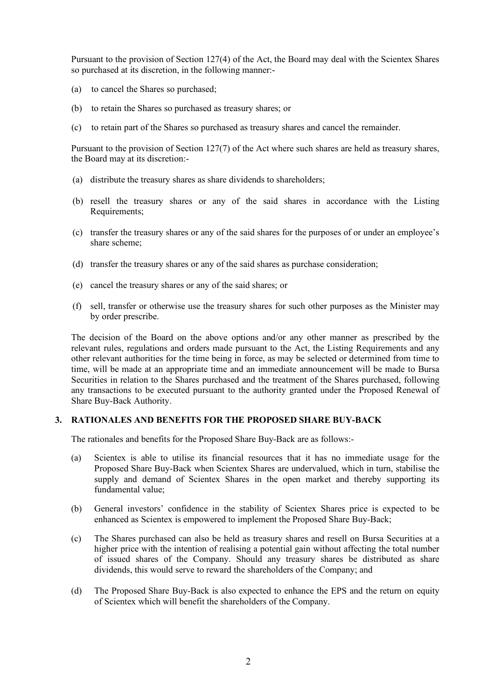Pursuant to the provision of Section 127(4) of the Act, the Board may deal with the Scientex Shares so purchased at its discretion, in the following manner:-

- (a) to cancel the Shares so purchased;
- (b) to retain the Shares so purchased as treasury shares; or
- (c) to retain part of the Shares so purchased as treasury shares and cancel the remainder.

Pursuant to the provision of Section 127(7) of the Act where such shares are held as treasury shares, the Board may at its discretion:-

- (a) distribute the treasury shares as share dividends to shareholders;
- (b) resell the treasury shares or any of the said shares in accordance with the Listing Requirements;
- (c) transfer the treasury shares or any of the said shares for the purposes of or under an employee's share scheme;
- (d) transfer the treasury shares or any of the said shares as purchase consideration;
- (e) cancel the treasury shares or any of the said shares; or
- (f) sell, transfer or otherwise use the treasury shares for such other purposes as the Minister may by order prescribe.

The decision of the Board on the above options and/or any other manner as prescribed by the relevant rules, regulations and orders made pursuant to the Act, the Listing Requirements and any other relevant authorities for the time being in force, as may be selected or determined from time to time, will be made at an appropriate time and an immediate announcement will be made to Bursa Securities in relation to the Shares purchased and the treatment of the Shares purchased, following any transactions to be executed pursuant to the authority granted under the Proposed Renewal of Share Buy-Back Authority.

#### **3. RATIONALES AND BENEFITS FOR THE PROPOSED SHARE BUY-BACK**

The rationales and benefits for the Proposed Share Buy-Back are as follows:-

- (a) Scientex is able to utilise its financial resources that it has no immediate usage for the Proposed Share Buy-Back when Scientex Shares are undervalued, which in turn, stabilise the supply and demand of Scientex Shares in the open market and thereby supporting its fundamental value;
- (b) General investors' confidence in the stability of Scientex Shares price is expected to be enhanced as Scientex is empowered to implement the Proposed Share Buy-Back;
- (c) The Shares purchased can also be held as treasury shares and resell on Bursa Securities at a higher price with the intention of realising a potential gain without affecting the total number of issued shares of the Company. Should any treasury shares be distributed as share dividends, this would serve to reward the shareholders of the Company; and
- (d) The Proposed Share Buy-Back is also expected to enhance the EPS and the return on equity of Scientex which will benefit the shareholders of the Company.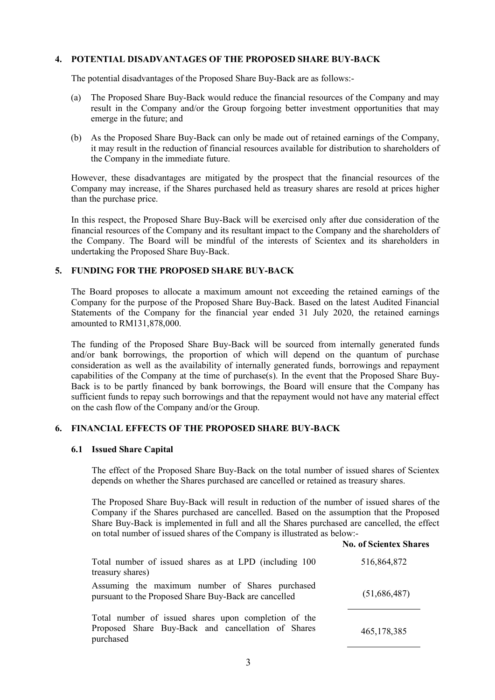# **4. POTENTIAL DISADVANTAGES OF THE PROPOSED SHARE BUY-BACK**

The potential disadvantages of the Proposed Share Buy-Back are as follows:-

- (a) The Proposed Share Buy-Back would reduce the financial resources of the Company and may result in the Company and/or the Group forgoing better investment opportunities that may emerge in the future; and
- (b) As the Proposed Share Buy-Back can only be made out of retained earnings of the Company, it may result in the reduction of financial resources available for distribution to shareholders of the Company in the immediate future.

However, these disadvantages are mitigated by the prospect that the financial resources of the Company may increase, if the Shares purchased held as treasury shares are resold at prices higher than the purchase price.

In this respect, the Proposed Share Buy-Back will be exercised only after due consideration of the financial resources of the Company and its resultant impact to the Company and the shareholders of the Company. The Board will be mindful of the interests of Scientex and its shareholders in undertaking the Proposed Share Buy-Back.

# **5. FUNDING FOR THE PROPOSED SHARE BUY-BACK**

The Board proposes to allocate a maximum amount not exceeding the retained earnings of the Company for the purpose of the Proposed Share Buy-Back. Based on the latest Audited Financial Statements of the Company for the financial year ended 31 July 2020, the retained earnings amounted to RM131,878,000.

The funding of the Proposed Share Buy-Back will be sourced from internally generated funds and/or bank borrowings, the proportion of which will depend on the quantum of purchase consideration as well as the availability of internally generated funds, borrowings and repayment capabilities of the Company at the time of purchase(s). In the event that the Proposed Share Buy-Back is to be partly financed by bank borrowings, the Board will ensure that the Company has sufficient funds to repay such borrowings and that the repayment would not have any material effect on the cash flow of the Company and/or the Group.

# **6. FINANCIAL EFFECTS OF THE PROPOSED SHARE BUY-BACK**

#### **6.1 Issued Share Capital**

The effect of the Proposed Share Buy-Back on the total number of issued shares of Scientex depends on whether the Shares purchased are cancelled or retained as treasury shares.

The Proposed Share Buy-Back will result in reduction of the number of issued shares of the Company if the Shares purchased are cancelled. Based on the assumption that the Proposed Share Buy-Back is implemented in full and all the Shares purchased are cancelled, the effect on total number of issued shares of the Company is illustrated as below:-

|                                                                                                                         | <b>No. of Scientex Shares</b> |
|-------------------------------------------------------------------------------------------------------------------------|-------------------------------|
| Total number of issued shares as at LPD (including 100)<br>treasury shares)                                             | 516,864,872                   |
| Assuming the maximum number of Shares purchased<br>pursuant to the Proposed Share Buy-Back are cancelled                | (51,686,487)                  |
| Total number of issued shares upon completion of the<br>Proposed Share Buy-Back and cancellation of Shares<br>purchased | 465, 178, 385                 |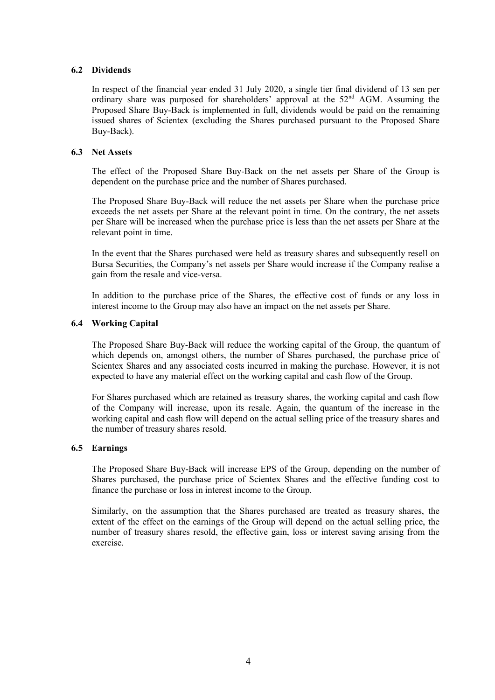#### **6.2 Dividends**

In respect of the financial year ended 31 July 2020, a single tier final dividend of 13 sen per ordinary share was purposed for shareholders' approval at the 52<sup>nd</sup> AGM. Assuming the Proposed Share Buy-Back is implemented in full, dividends would be paid on the remaining issued shares of Scientex (excluding the Shares purchased pursuant to the Proposed Share Buy-Back).

## **6.3 Net Assets**

The effect of the Proposed Share Buy-Back on the net assets per Share of the Group is dependent on the purchase price and the number of Shares purchased.

The Proposed Share Buy-Back will reduce the net assets per Share when the purchase price exceeds the net assets per Share at the relevant point in time. On the contrary, the net assets per Share will be increased when the purchase price is less than the net assets per Share at the relevant point in time.

In the event that the Shares purchased were held as treasury shares and subsequently resell on Bursa Securities, the Company's net assets per Share would increase if the Company realise a gain from the resale and vice-versa.

In addition to the purchase price of the Shares, the effective cost of funds or any loss in interest income to the Group may also have an impact on the net assets per Share.

## **6.4 Working Capital**

The Proposed Share Buy-Back will reduce the working capital of the Group, the quantum of which depends on, amongst others, the number of Shares purchased, the purchase price of Scientex Shares and any associated costs incurred in making the purchase. However, it is not expected to have any material effect on the working capital and cash flow of the Group.

For Shares purchased which are retained as treasury shares, the working capital and cash flow of the Company will increase, upon its resale. Again, the quantum of the increase in the working capital and cash flow will depend on the actual selling price of the treasury shares and the number of treasury shares resold.

#### **6.5 Earnings**

The Proposed Share Buy-Back will increase EPS of the Group, depending on the number of Shares purchased, the purchase price of Scientex Shares and the effective funding cost to finance the purchase or loss in interest income to the Group.

Similarly, on the assumption that the Shares purchased are treated as treasury shares, the extent of the effect on the earnings of the Group will depend on the actual selling price, the number of treasury shares resold, the effective gain, loss or interest saving arising from the exercise.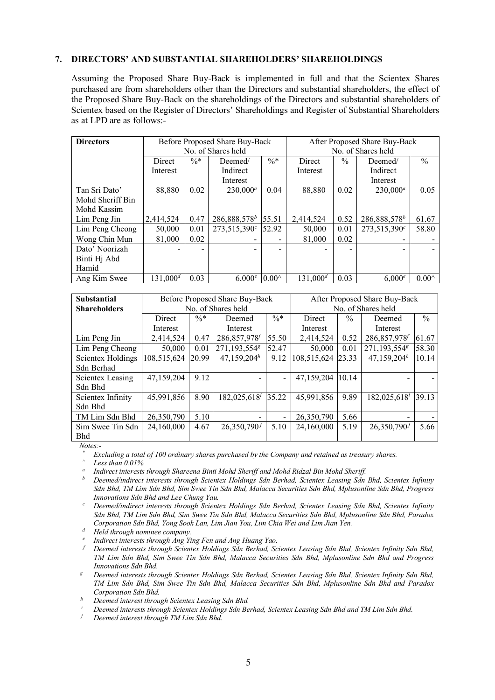## **7. DIRECTORS' AND SUBSTANTIAL SHAREHOLDERS' SHAREHOLDINGS**

Assuming the Proposed Share Buy-Back is implemented in full and that the Scientex Shares purchased are from shareholders other than the Directors and substantial shareholders, the effect of the Proposed Share Buy-Back on the shareholdings of the Directors and substantial shareholders of Scientex based on the Register of Directors' Shareholdings and Register of Substantial Shareholders as at LPD are as follows:-

| <b>Directors</b> | Before Proposed Share Buy-Back<br>After Proposed Share Buy-Back |                 |                 |                    |             |               |                 |                |
|------------------|-----------------------------------------------------------------|-----------------|-----------------|--------------------|-------------|---------------|-----------------|----------------|
|                  | No. of Shares held                                              |                 |                 | No. of Shares held |             |               |                 |                |
| Direct           |                                                                 | $\frac{0}{6}$ * | Deemed/         | $\%*$              | Direct      | $\frac{0}{0}$ | Deemed/         | $\frac{0}{0}$  |
|                  | Interest                                                        |                 | Indirect        |                    | Interest    |               | Indirect        |                |
|                  |                                                                 |                 | Interest        |                    |             |               | Interest        |                |
| Tan Sri Dato'    | 88,880                                                          | 0.02            | $230,000^a$     | 0.04               | 88,880      | 0.02          | $230,000^a$     | 0.05           |
| Mohd Sheriff Bin |                                                                 |                 |                 |                    |             |               |                 |                |
| Mohd Kassim      |                                                                 |                 |                 |                    |             |               |                 |                |
| Lim Peng Jin     | 2,414,524                                                       | 0.47            | $286,888,578^b$ | 55.51              | 2,414,524   | 0.52          | $286,888,578^b$ | 61.67          |
| Lim Peng Cheong  | 50,000                                                          | 0.01            | $273,515,390^c$ | 52.92              | 50,000      | 0.01          | $273,515,390^c$ | 58.80          |
| Wong Chin Mun    | 81,000                                                          | 0.02            |                 | -                  | 81,000      | 0.02          |                 |                |
| Dato' Noorizah   |                                                                 |                 |                 | ۰                  |             |               |                 |                |
| Binti Hj Abd     |                                                                 |                 |                 |                    |             |               |                 |                |
| Hamid            |                                                                 |                 |                 |                    |             |               |                 |                |
| Ang Kim Swee     | $131,000^d$                                                     | 0.03            | 6.000e          | $0.00^{\wedge}$    | $131.000^d$ | 0.03          | 6.000e          | $0.00^{\circ}$ |

| <b>Substantial</b><br><b>Shareholders</b> | Before Proposed Share Buy-Back<br>No. of Shares held |                 |                 | After Proposed Share Buy-Back<br>No. of Shares held |               |               |                 |       |
|-------------------------------------------|------------------------------------------------------|-----------------|-----------------|-----------------------------------------------------|---------------|---------------|-----------------|-------|
|                                           | Direct                                               | $\frac{0}{6}$ * | Deemed          | $\%*$                                               | <b>Direct</b> | $\frac{0}{0}$ | Deemed          | $\%$  |
|                                           | Interest                                             |                 | Interest        |                                                     | Interest      |               | Interest        |       |
| Lim Peng Jin                              | 2,414,524                                            | 0.47            | 286,857,978     | 55.50                                               | 2,414,524     | 0.52          | 286,857,978     | 61.67 |
| Lim Peng Cheong                           | 50,000                                               | 0.01            | 271,193,5548    | 52.47                                               | 50,000        | 0.01          | 271,193,5548    | 58.30 |
| <b>Scientex Holdings</b>                  | 108,515,624                                          | 20.99           | $47,159,204^h$  | 9.12                                                | 108,515,624   | 23.33         | $47,159,204^h$  | 10.14 |
| Sdn Berhad                                |                                                      |                 |                 |                                                     |               |               |                 |       |
| Scientex Leasing                          | 47,159,204                                           | 9.12            |                 | $\overline{\phantom{0}}$                            | 47,159,204    | 10.14         |                 |       |
| Sdn Bhd                                   |                                                      |                 |                 |                                                     |               |               |                 |       |
| Scientex Infinity                         | 45,991,856                                           | 8.90            | $182,025,618^i$ | 35.22                                               | 45,991,856    | 9.89          | $182,025,618^i$ | 39.13 |
| Sdn Bhd                                   |                                                      |                 |                 |                                                     |               |               |                 |       |
| TM Lim Sdn Bhd                            | 26,350,790                                           | 5.10            | $\,$            | $\overline{\phantom{a}}$                            | 26,350,790    | 5.66          |                 |       |
| Sim Swee Tin Sdn                          | 24,160,000                                           | 4.67            | $26,350,790^j$  | 5.10                                                | 24,160,000    | 5.19          | $26,350,790^j$  | 5.66  |
| <b>Bhd</b>                                |                                                      |                 |                 |                                                     |               |               |                 |       |

*Notes:-*

*\* Excluding a total of 100 ordinary shares purchased by the Company and retained as treasury shares. ^ Less than 0.01%.*

*<sup>a</sup> Indirect interests through Shareena Binti Mohd Sheriff and Mohd Ridzal Bin Mohd Sheriff.*

*<sup>b</sup> Deemed/indirect interests through Scientex Holdings Sdn Berhad, Scientex Leasing Sdn Bhd, Scientex Infinity Sdn Bhd, TM Lim Sdn Bhd, Sim Swee Tin Sdn Bhd, Malacca Securities Sdn Bhd, Mplusonline Sdn Bhd, Progress Innovations Sdn Bhd and Lee Chung Yau.*

*<sup>c</sup> Deemed/indirect interests through Scientex Holdings Sdn Berhad, Scientex Leasing Sdn Bhd, Scientex Infinity Sdn Bhd, TM Lim Sdn Bhd, Sim Swee Tin Sdn Bhd, Malacca Securities Sdn Bhd, Mplusonline Sdn Bhd, Paradox Corporation Sdn Bhd, Yong Sook Lan, Lim Jian You, Lim Chia Wei and Lim Jian Yen.*

*<sup>d</sup> Held through nominee company.*

*<sup>e</sup> Indirect interests through Ang Ying Fen and Ang Huang Yao.*

*<sup>f</sup> Deemed interests through Scientex Holdings Sdn Berhad, Scientex Leasing Sdn Bhd, Scientex Infinity Sdn Bhd, TM Lim Sdn Bhd, Sim Swee Tin Sdn Bhd, Malacca Securities Sdn Bhd, Mplusonline Sdn Bhd and Progress Innovations Sdn Bhd.*<br>Deemed interests through Scientex Holdings Sdn Berhad, Scientex Leasing Sdn Bhd, Scientex Infinity Sdn Bhd,

*TM Lim Sdn Bhd, Sim Swee Tin Sdn Bhd, Malacca Securities Sdn Bhd, Mplusonline Sdn Bhd and Paradox Corporation Sdn Bhd.*

*<sup>h</sup> Deemed interest through Scientex Leasing Sdn Bhd.*

*<sup>i</sup> Deemed interests through Scientex Holdings Sdn Berhad, Scientex Leasing Sdn Bhd and TM Lim Sdn Bhd.*

*<sup>j</sup> Deemed interest through TM Lim Sdn Bhd.*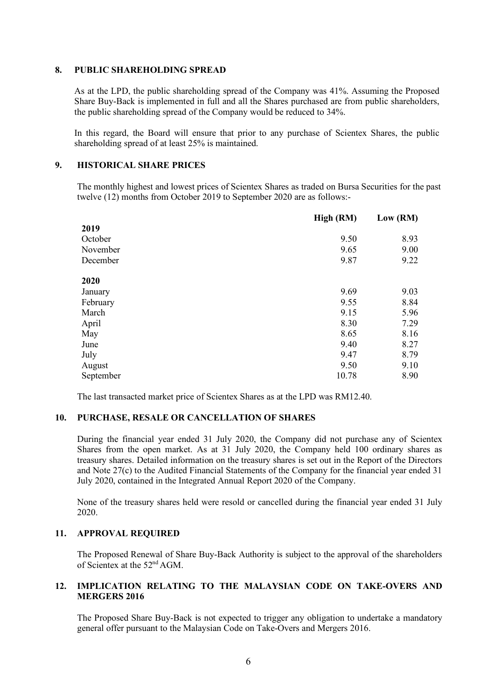#### **8. PUBLIC SHAREHOLDING SPREAD**

As at the LPD, the public shareholding spread of the Company was 41%. Assuming the Proposed Share Buy-Back is implemented in full and all the Shares purchased are from public shareholders, the public shareholding spread of the Company would be reduced to 34%.

In this regard, the Board will ensure that prior to any purchase of Scientex Shares, the public shareholding spread of at least 25% is maintained.

# **9. HISTORICAL SHARE PRICES**

The monthly highest and lowest prices of Scientex Shares as traded on Bursa Securities for the past twelve (12) months from October 2019 to September 2020 are as follows:-

|           | High (RM) | Low (RM) |
|-----------|-----------|----------|
| 2019      |           |          |
| October   | 9.50      | 8.93     |
| November  | 9.65      | 9.00     |
| December  | 9.87      | 9.22     |
| 2020      |           |          |
| January   | 9.69      | 9.03     |
| February  | 9.55      | 8.84     |
| March     | 9.15      | 5.96     |
| April     | 8.30      | 7.29     |
| May       | 8.65      | 8.16     |
| June      | 9.40      | 8.27     |
| July      | 9.47      | 8.79     |
| August    | 9.50      | 9.10     |
| September | 10.78     | 8.90     |

The last transacted market price of Scientex Shares as at the LPD was RM12.40.

#### **10. PURCHASE, RESALE OR CANCELLATION OF SHARES**

During the financial year ended 31 July 2020, the Company did not purchase any of Scientex Shares from the open market. As at 31 July 2020, the Company held 100 ordinary shares as treasury shares. Detailed information on the treasury shares is set out in the Report of the Directors and Note 27(c) to the Audited Financial Statements of the Company for the financial year ended 31 July 2020, contained in the Integrated Annual Report 2020 of the Company.

None of the treasury shares held were resold or cancelled during the financial year ended 31 July 2020.

#### **11. APPROVAL REQUIRED**

The Proposed Renewal of Share Buy-Back Authority is subject to the approval of the shareholders of Scientex at the 52nd AGM.

## **12. IMPLICATION RELATING TO THE MALAYSIAN CODE ON TAKE-OVERS AND MERGERS 2016**

The Proposed Share Buy-Back is not expected to trigger any obligation to undertake a mandatory general offer pursuant to the Malaysian Code on Take-Overs and Mergers 2016.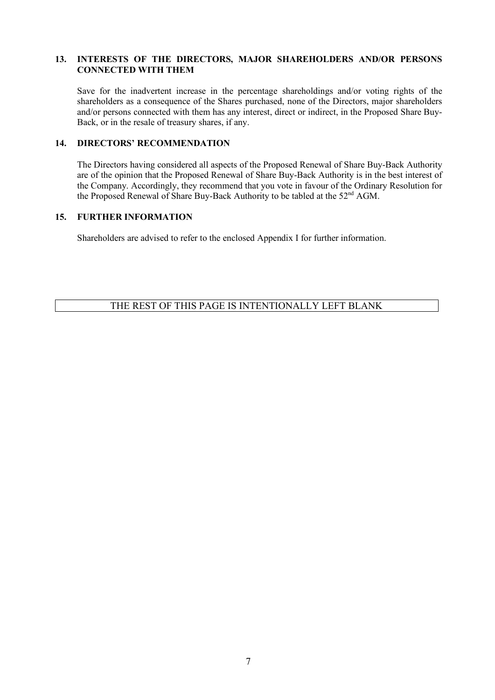## **13. INTERESTS OF THE DIRECTORS, MAJOR SHAREHOLDERS AND/OR PERSONS CONNECTED WITH THEM**

Save for the inadvertent increase in the percentage shareholdings and/or voting rights of the shareholders as a consequence of the Shares purchased, none of the Directors, major shareholders and/or persons connected with them has any interest, direct or indirect, in the Proposed Share Buy-Back, or in the resale of treasury shares, if any.

# **14. DIRECTORS' RECOMMENDATION**

The Directors having considered all aspects of the Proposed Renewal of Share Buy-Back Authority are of the opinion that the Proposed Renewal of Share Buy-Back Authority is in the best interest of the Company. Accordingly, they recommend that you vote in favour of the Ordinary Resolution for the Proposed Renewal of Share Buy-Back Authority to be tabled at the 52nd AGM.

## **15. FURTHER INFORMATION**

Shareholders are advised to refer to the enclosed Appendix I for further information.

# THE REST OF THIS PAGE IS INTENTIONALLY LEFT BLANK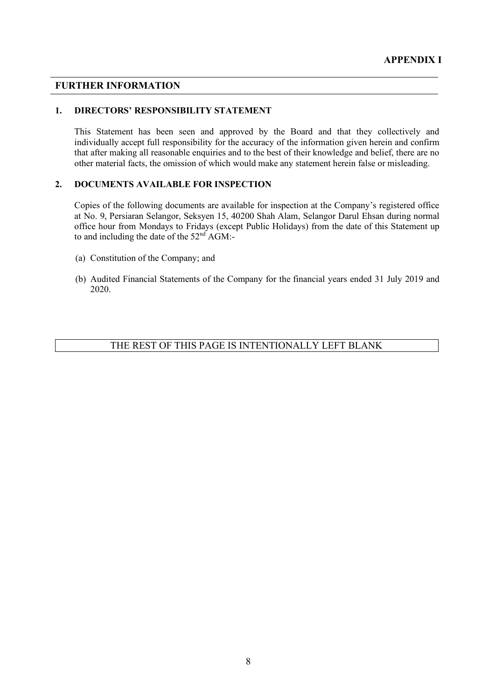## **FURTHER INFORMATION**

#### **1. DIRECTORS' RESPONSIBILITY STATEMENT**

This Statement has been seen and approved by the Board and that they collectively and individually accept full responsibility for the accuracy of the information given herein and confirm that after making all reasonable enquiries and to the best of their knowledge and belief, there are no other material facts, the omission of which would make any statement herein false or misleading.

#### **2. DOCUMENTS AVAILABLE FOR INSPECTION**

Copies of the following documents are available for inspection at the Company's registered office at No. 9, Persiaran Selangor, Seksyen 15, 40200 Shah Alam, Selangor Darul Ehsan during normal office hour from Mondays to Fridays (except Public Holidays) from the date of this Statement up to and including the date of the  $52<sup>nd</sup>$  AGM:-

- (a) Constitution of the Company; and
- (b) Audited Financial Statements of the Company for the financial years ended 31 July 2019 and 2020.

# THE REST OF THIS PAGE IS INTENTIONALLY LEFT BLANK